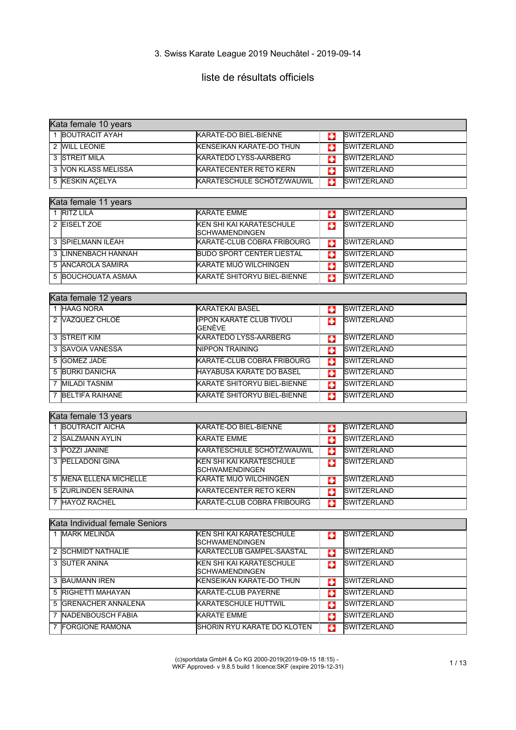# liste de résultats officiels

| Kata female 10 years                             |                                                          |   |                    |
|--------------------------------------------------|----------------------------------------------------------|---|--------------------|
| 1 BOUTRACIT AYAH                                 | KARATE-DO BIEL-BIENNE                                    | o | <b>SWITZERLAND</b> |
| 2 WILL LEONIE                                    | <b>KENSEIKAN KARATE-DO THUN</b>                          | o | SWITZERLAND        |
| 3 STREIT MILA                                    | <b>KARATEDO LYSS-AARBERG</b>                             | o | <b>SWITZERLAND</b> |
| 3 VON KLASS MELISSA                              | <b>KARATECENTER RETO KERN</b>                            | o | <b>SWITZERLAND</b> |
| 5 KESKIN AÇELYA                                  | KARATESCHULE SCHÖTZ/WAUWIL                               | o | <b>SWITZERLAND</b> |
|                                                  |                                                          |   |                    |
| Kata female 11 years                             |                                                          |   |                    |
| 1 RITZ LILA                                      | <b>KARATE EMME</b>                                       | o | <b>SWITZERLAND</b> |
| 2 EISELT ZOE                                     | KEN SHI KAI KARATESCHULE<br><b>SCHWAMENDINGEN</b>        | п | <b>SWITZERLAND</b> |
| 3 SPIELMANN ILÉAH                                | KARATÉ-CLUB COBRA FRIBOURG                               | Ф | <b>SWITZERLAND</b> |
| 3 LINNENBACH HANNAH                              | <b>BUDO SPORT CENTER LIESTAL</b>                         | o | SWITZERLAND        |
| 5 ANCAROLA SAMIRA                                | KARATE MIJÓ WILCHINGEN                                   | o | <b>SWITZERLAND</b> |
| 5 BOUCHOUATA ASMAA                               | KARATÉ SHITORYU BIEL-BIENNE                              | G | SWITZERLAND        |
|                                                  |                                                          |   |                    |
| Kata female 12 years                             |                                                          |   |                    |
| 1 HAAG NORA                                      | <b>KARATEKAI BASEL</b>                                   | o | <b>SWITZERLAND</b> |
| 2 VAZQUEZ CHLOÉ                                  | <b>IPPON KARATÉ CLUB TIVOLI</b><br>GENÈVE                | Ð | SWITZERLAND        |
| 3 STREIT KIM                                     | <b>KARATEDO LYSS-AARBERG</b>                             | о | <b>SWITZERLAND</b> |
| 3 SAVOIA VANESSA                                 | <b>NIPPON TRAINING</b>                                   | o | SWITZERLAND        |
| 5 GOMEZ JADE                                     | KARATÉ-CLUB COBRA FRIBOURG                               | o | <b>SWITZERLAND</b> |
| 5 BÜRKI DANICHA                                  | HAYABUSA KARATE DO BASEL                                 | в | <b>SWITZERLAND</b> |
| 7 MILADI TASNIM                                  | KARATÉ SHITORYU BIEL-BIENNE                              | o | <b>SWITZERLAND</b> |
| 7 BELTIFA RAIHANE                                | KARATÉ SHITORYU BIEL-BIENNE                              | п | <b>SWITZERLAND</b> |
|                                                  |                                                          |   |                    |
| Kata female 13 years<br>1 BOUTRACIT AICHA        |                                                          |   |                    |
|                                                  | KARATE-DO BIEL-BIENNE<br><b>KARATE EMME</b>              | о | <b>SWITZERLAND</b> |
| 2 SALZMANN AYLIN                                 |                                                          | o | <b>SWITZERLAND</b> |
| 3 POZZI JANINE                                   | KARATESCHULE SCHÖTZ/WAUWIL                               | o | SWITZERLAND        |
| 3 PELLADONI GINA                                 | <b>KEN SHI KAI KARATESCHULE</b><br><b>SCHWAMENDINGEN</b> | o | SWITZERLAND        |
| <b>5 MENA ELLENA MICHELLE</b>                    | KARATE MIJÓ WILCHINGEN                                   | o | <b>SWITZERLAND</b> |
| 5 ZURLINDEN SERAINA                              | <b>KARATECENTER RETO KERN</b>                            | п | SWITZERLAND        |
| 7 HAYOZ RACHEL                                   | KARATÉ-CLUB COBRA FRIBOURG                               | o | <b>SWITZERLAND</b> |
|                                                  |                                                          |   |                    |
| Kata Individual female Seniors<br>1 MARK MELINDA | KEN SHI KAI KARATESCHULE                                 |   | <b>SWITZERLAND</b> |
|                                                  | SCHWAMENDINGEN                                           | o |                    |
| 2 SCHMIDT NATHALIE                               | KARATECLUB GAMPEL-SAASTAL                                | o | <b>SWITZERLAND</b> |
| 3 SUTER ANINA                                    | KEN SHI KAI KARATESCHULE<br>SCHWAMENDINGEN               | п | <b>SWITZERLAND</b> |
| 3 BAUMANN IREN                                   | <b>KENSEIKAN KARATE-DO THUN</b>                          | o | SWITZERLAND        |
| 5 RIGHETTI MAHAYAN                               | <b>KARATÉ-CLUB PAYERNE</b>                               | o | <b>SWITZERLAND</b> |
| 5 IGRENACHER ANNALENA                            | <b>KARATESCHULE HUTTWIL</b>                              | o | SWITZERLAND        |
| 7 NADENBOUSCH FABIA                              | <b>KARATE EMME</b>                                       | о | SWITZERLAND        |
| 7 FORGIONE RAMONA                                | SHORIN RYU KARATE DO KLOTEN                              | o | <b>SWITZERLAND</b> |

(c)sportdata GmbH & Co KG 2000-2019(2019-09-15 18:15) - WKF Approved- v 9.8.5 build 1 licence:SKF (expire 2019-12-31) 1 / 13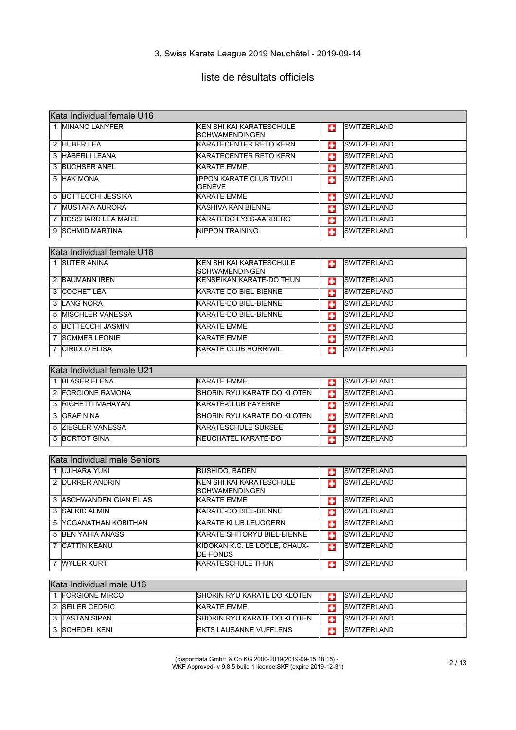# liste de résultats officiels

|   | Kata Individual female U16   |                                                          |   |                    |  |
|---|------------------------------|----------------------------------------------------------|---|--------------------|--|
|   | 1 MINANO LANYFER             | KEN SHI KAI KARATESCHULE<br>SCHWAMENDINGEN               | œ | <b>SWITZERLAND</b> |  |
|   | 2 HUBER LEA                  | <b>KARATECENTER RETO KERN</b>                            | п | <b>SWITZERLAND</b> |  |
|   | 3 HÄBERLI LEANA              | <b>KARATECENTER RETO KERN</b>                            | ш | <b>SWITZERLAND</b> |  |
|   | 3 BUCHSER ANEL               | <b>KARATE EMME</b>                                       | œ | <b>SWITZERLAND</b> |  |
|   | 5 HAK MONA                   | <b>IPPON KARATÉ CLUB TIVOLI</b><br>GENÈVE                | Ð | <b>SWITZERLAND</b> |  |
|   | 5 BOTTECCHI JESSIKA          | <b>KARATE EMME</b>                                       | o | <b>SWITZERLAND</b> |  |
|   | 7 MUSTAFA AURORA             | IKASHIVA KAN BIENNE                                      | п | <b>SWITZERLAND</b> |  |
|   | 7 BOSSHARD LEA MARIE         | <b>KARATEDO LYSS-AARBERG</b>                             | o | <b>SWITZERLAND</b> |  |
|   | 9 SCHMID MARTINA             | <b>NIPPON TRAINING</b>                                   | o | <b>SWITZERLAND</b> |  |
|   |                              |                                                          |   |                    |  |
|   | Kata Individual female U18   |                                                          |   |                    |  |
|   | 1 SUTER ANINA                | <b>KEN SHI KAI KARATESCHULE</b><br>SCHWAMENDINGEN        | ш | <b>SWITZERLAND</b> |  |
|   | 2 BAUMANN IREN               | <b>KENSEIKAN KARATE-DO THUN</b>                          | ш | <b>SWITZERLAND</b> |  |
|   | 3 COCHET LÉA                 | <b>KARATE-DO BIEL-BIENNE</b>                             | o | <b>SWITZERLAND</b> |  |
|   | 3 LANG NORA                  | KARATE-DO BIEL-BIENNE                                    | o | <b>SWITZERLAND</b> |  |
|   | 5 MISCHLER VANESSA           | KARATE-DO BIEL-BIENNE                                    | п | <b>SWITZERLAND</b> |  |
|   | 5 BOTTECCHI JASMIN           | <b>KARATE EMME</b>                                       | o | <b>SWITZERLAND</b> |  |
| 7 | <b>SOMMER LEONIE</b>         | <b>I</b> KARATE EMME                                     | o | <b>SWITZERLAND</b> |  |
|   | 7 CIRIOLO ELISA              | <b>KARATE CLUB HORRIWIL</b>                              | o | SWITZERLAND        |  |
|   |                              |                                                          |   |                    |  |
|   | Kata Individual female U21   |                                                          |   |                    |  |
|   | 1 BLASER ELENA               | <b>I</b> KARATE EMME                                     | o | <b>SWITZERLAND</b> |  |
|   | 2 FORGIONE RAMONA            | <b>SHORIN RYU KARATE DO KLOTEN</b>                       | Ð | <b>SWITZERLAND</b> |  |
|   | 3 RIGHETTI MAHAYAN           | KARATÉ-CLUB PAYERNE                                      | o | <b>SWITZERLAND</b> |  |
|   | 3 GRAF NINA                  | SHORIN RYU KARATE DO KLOTEN                              | o | <b>SWITZERLAND</b> |  |
|   | 5 ZIEGLER VANESSA            | <b>KARATESCHULE SURSEE</b>                               | o | SWITZERLAND        |  |
|   | 5 BORTOT GINA                | NEUCHÂTEL KARATÉ-DO                                      | o | <b>SWITZERLAND</b> |  |
|   |                              |                                                          |   |                    |  |
|   | Kata Individual male Seniors |                                                          |   |                    |  |
|   | 1 UJIHARA YUKI               | <b>BUSHIDO, BADEN</b>                                    | ш | <b>SWITZERLAND</b> |  |
|   | 2 DURRER ANDRIN              | <b>KEN SHI KAI KARATESCHULE</b><br><b>SCHWAMENDINGEN</b> | п | <b>SWITZERLAND</b> |  |
|   | 3 ASCHWANDEN GIAN ELIAS      | KARATE EMME                                              | ю | SWITZERLAND        |  |
|   | 3 SALKIC ALMIN               | KARATE-DO BIEL-BIENNE                                    | Ð | <b>SWITZERLAND</b> |  |
|   | 5 YOGANATHAN KOBITHAN        | <b>KARATE KLUB LEUGGERN</b>                              | ш | <b>SWITZERLAND</b> |  |
|   | 5 BEN YAHIA ANASS            | KARATÉ SHITORYU BIEL-BIENNE                              | œ | <b>SWITZERLAND</b> |  |
|   | 7 CATTIN KEANU               | KIDOKAN K.C. LE LOCLE, CHAUX-<br><b>DE-FONDS</b>         | ш | SWITZERLAND        |  |
|   | 7 WYLER KURT                 | <b>KARATESCHULE THUN</b>                                 | Ð | <b>SWITZERLAND</b> |  |
|   |                              |                                                          |   |                    |  |
|   | Kata Individual male U16     |                                                          |   |                    |  |
|   | 1 FORGIONE MIRCO             | SHORIN RYU KARATE DO KLOTEN                              | п | <b>SWITZERLAND</b> |  |
|   | 2 SEILER CEDRIC              | <b>KARATE EMME</b>                                       | o | <b>SWITZERLAND</b> |  |
|   | 3 TASTAN SIPAN               | SHORIN RYU KARATE DO KLOTEN                              | п | SWITZERLAND        |  |

(c)sportdata GmbH & Co KG 2000-2019(2019-09-15 18:15) - WKF Approved- v 9.8.5 build 1 licence:SKF (expire 2019-12-31) 2 / 13

3 SCHEDEL KENI EKTS LAUSANNE VUFFLENS SWITZERLAND

┑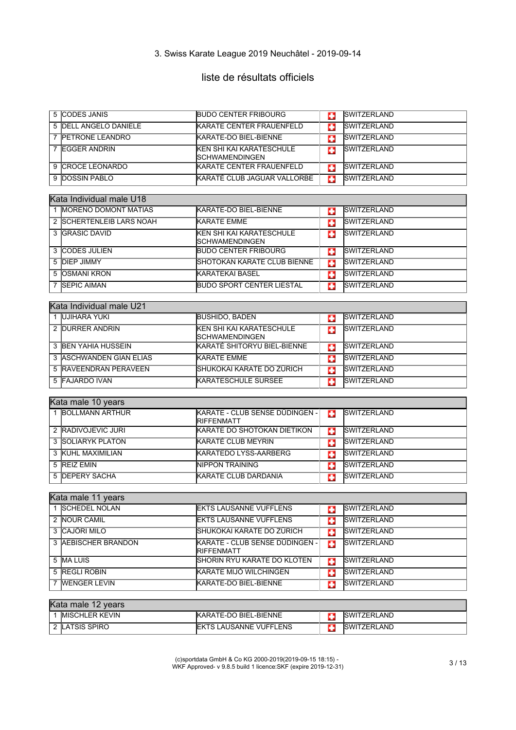# liste de résultats officiels

| 5 ICODES JANIS                | <b>BUDO CENTER FRIBOURG</b>                         |   | <b>ISWITZERLAND</b> |
|-------------------------------|-----------------------------------------------------|---|---------------------|
| 5 <b>IDELL ANGELO DANIELE</b> | <b>IKARATE CENTER FRAUENFELD</b>                    |   | <b>ISWITZERLAND</b> |
| <b>IPETRONE LEANDRO</b>       | KARATE-DO BIEL-BIENNE                               |   | <b>ISWITZERLAND</b> |
| <b>IEGGER ANDRIN</b>          | <b>IKEN SHI KAI KARATESCHULE</b><br>ISCHWAMENDINGEN |   | <b>ISWITZERLAND</b> |
| 9 ICROCE LEONARDO             | <b>IKARATE CENTER FRAUENFELD</b>                    |   | <b>ISWITZERLAND</b> |
| 9 DOSSIN PABLO                | KARATÉ CLUB JAGUAR VALLORBE                         | ш | <b>ISWITZERLAND</b> |

#### Kata Individual male U18

| <b>IMORENO DOMONT MATIAS</b> | KARATE-DO BIEL-BIENNE                                     |   | <b>SWITZERLAND</b>  |
|------------------------------|-----------------------------------------------------------|---|---------------------|
| 2 SCHERTENLEIB LARS NOAH     | <b>KARATE EMME</b>                                        |   | <b>ISWITZERLAND</b> |
| 3 GRASIC DAVID               | <b>KEN SHI KAI KARATESCHULE</b><br><b>ISCHWAMENDINGEN</b> | ÷ | <b>SWITZERLAND</b>  |
| 3 ICODES JULIEN              | <b>BUDO CENTER FRIBOURG</b>                               | ÷ | <b>SWITZERLAND</b>  |
| 5 DIEP JIMMY                 | <b>ISHOTOKAN KARATE CLUB BIENNE</b>                       | ÷ | <b>SWITZERLAND</b>  |
| 5 IOSMANI KRON               | IKARATEKAI BASEL                                          | c | <b>SWITZERLAND</b>  |
| <b>SEPIC AIMAN</b>           | <b>BUDO SPORT CENTER LIESTAL</b>                          | ш | <b>SWITZERLAND</b>  |

#### Kata Individual male U21

| lUJIHARA YUKI           | <b>BUSHIDO, BADEN</b>                                     |   | <b>SWITZERLAND</b>   |
|-------------------------|-----------------------------------------------------------|---|----------------------|
| 2 DURRER ANDRIN         | <b>KEN SHI KAI KARATESCHULE</b><br><b>ISCHWAMENDINGEN</b> | ÷ | <b>ISWITZERLAND</b>  |
| 3 BEN YAHIA HUSSEIN     | KARATÉ SHITORYU BIEL-BIENNE                               | с | <b>ISWITZERLAND</b>  |
| 3 ASCHWANDEN GIAN ELIAS | <b>KARATE EMME</b>                                        |   | <b>ISWITZERLAND</b>  |
| 5 RAVEENDRAN PERAVEEN   | ISHUKOKAI KARATE DO ZÜRICH                                | c | <b>ISWITZERLAND</b>  |
| 5 FAJARDO IVAN          | <b>KARATESCHULE SURSEE</b>                                |   | <b>ISWITZERI AND</b> |

#### Kata male 10 years

| <b>BOLLMANN ARTHUR</b> | KARATE - CLUB SENSE DÜDINGEN -<br><b>RIFFENMATT</b> | ш | <b>SWITZERLAND</b>  |  |
|------------------------|-----------------------------------------------------|---|---------------------|--|
| 2 RADIVOJEVIC JURI     | <b>IKARATE DO SHOTOKAN DIETIKON</b>                 | ш | <b>ISWITZERLAND</b> |  |
| 3 SOLIARYK PLATON      | KARATÉ CLUB MEYRIN                                  |   | <b>ISWITZERLAND</b> |  |
| 3 KUHL MAXIMILIAN      | <b>KARATEDO LYSS-AARBERG</b>                        |   | <b>ISWITZERLAND</b> |  |
| 5 REIZ FMIN            | <b>INIPPON TRAINING</b>                             |   | <b>ISWITZERLAND</b> |  |
| 5 <b>IDEPERY SACHA</b> | <b>KARATE CLUB DARDANIA</b>                         |   | <b>ISWITZERLAND</b> |  |

#### Kata male 11 years 1 SCHEDEL NOLAN **EKTS LAUSANNE VUFFLENS** 2 NOUR CAMIL EKTS LAUSANNE VUFFLENS SWITZERLAND 3 CAJÖRI MILO SHUKOKAI KARATE DO ZÜRICH SWITZERLAND 3 AEBISCHER BRANDON KARATE - CLUB SENSE DÜDINGEN G **SWITZERLAND** RIFFENMATT 5 MALUIS SHORIN RYU KARATE DO KLOTEN SWITZERLAND 5 REGLI ROBIN KARATE MIJÓ WILCHINGEN SINTZERLAND 7 WENGER LEVIN KARATE-DO BIEL-BIENNE SWITZERLAND

| Kata male 12 years |                        |                                |  |                     |  |
|--------------------|------------------------|--------------------------------|--|---------------------|--|
|                    | <b>IMISCHLER KEVIN</b> | KARATE-DO BIEL-BIENNE          |  | <b>ISWITZERLAND</b> |  |
|                    | 2 ILATSIS SPIRO        | <b>IEKTS LAUSANNE VUFFLENS</b> |  | <b>ISWITZERLAND</b> |  |

(c)sportdata GmbH & Co KG 2000-2019(2019-09-15 18:15) - WKF Approved- v 9.8.5 build 1 licence:SKF (expire 2019-12-31) 3 / 13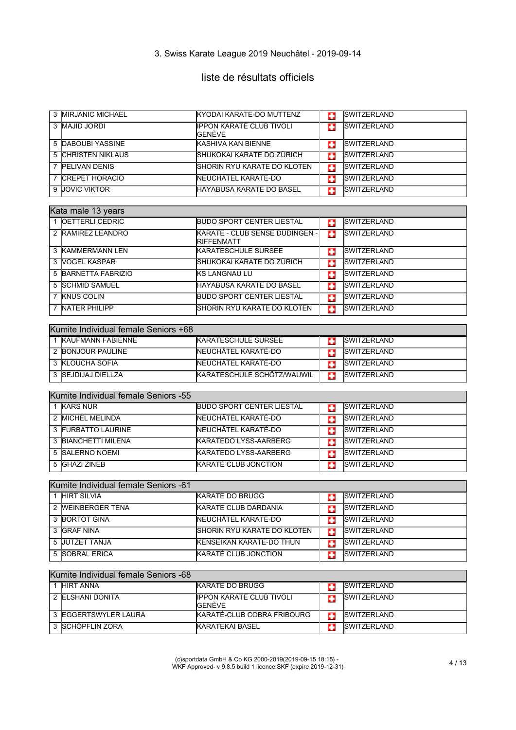# liste de résultats officiels

|   | 3 MIRJANIC MICHAEL                   | KYODAI KARATE-DO MUTTENZ                     | C.        | SWITZERLAND        |
|---|--------------------------------------|----------------------------------------------|-----------|--------------------|
|   | 3 MAJID JORDI                        | <b>IPPON KARATÉ CLUB TIVOLI</b><br>GENÈVE    | ш         | <b>SWITZERLAND</b> |
|   | <b>5 DABOUBI YASSINE</b>             | <b>KASHIVA KAN BIENNE</b>                    | C.        | SWITZERLAND        |
|   | <b>5 CHRISTEN NIKLAUS</b>            | SHUKOKAI KARATE DO ZÜRICH                    | o         | <b>SWITZERLAND</b> |
|   | 7 PELIVAN DENIS                      | <b>SHORIN RYU KARATE DO KLOTEN</b>           | o         | <b>SWITZERLAND</b> |
| 7 | <b>CREPET HORACIO</b>                | NEUCHÂTEL KARATÉ-DO                          | o         | <b>SWITZERLAND</b> |
| 9 | <b>JOVIC VIKTOR</b>                  | HAYABUSA KARATE DO BASEL                     | п         | <b>SWITZERLAND</b> |
|   |                                      |                                              |           |                    |
|   | Kata male 13 years                   |                                              |           |                    |
|   | 1 OETTERLI CEDRIC                    | <b>BUDO SPORT CENTER LIESTAL</b>             | o         | <b>SWITZERLAND</b> |
|   | 2 RAMIREZ LEANDRO                    | KARATE - CLUB SENSE DÜDINGEN -<br>RIFFENMATT | E.        | SWITZERLAND        |
|   | 3 KAMMERMANN LEN                     | <b>KARATESCHULE SURSEE</b>                   | o         | <b>SWITZERLAND</b> |
|   | 3 VOGEL KASPAR                       | SHUKOKAI KARATE DO ZÜRICH                    | o         | <b>SWITZERLAND</b> |
|   | 5 BARNETTA FABRIZIO                  | <b>KS LANGNAU LU</b>                         | o         | <b>SWITZERLAND</b> |
|   | 5 SCHMID SAMUEL                      | HAYABUSA KARATE DO BASEL                     | o         | <b>SWITZERLAND</b> |
|   | 7 KNUS COLIN                         | <b>BUDO SPORT CENTER LIESTAL</b>             | o         | SWITZERLAND        |
| 7 | <b>NATER PHILIPP</b>                 | SHORIN RYU KARATE DO KLOTEN                  | п         | <b>SWITZERLAND</b> |
|   | Kumite Individual female Seniors +68 |                                              |           |                    |
|   | 1 KAUFMANN FABIENNE                  | <b>KARATESCHULE SURSEE</b>                   | o         | <b>SWITZERLAND</b> |
|   | 2 BONJOUR PAULINE                    | NEUCHÂTEL KARATÉ-DO                          | o         | <b>SWITZERLAND</b> |
|   | 3 KLOUCHA SOFIA                      | NEUCHÂTEL KARATÉ-DO                          | E.        | <b>SWITZERLAND</b> |
|   | 3 SEJDIJAJ DIELLZA                   | KARATESCHULE SCHÖTZ/WAUWIL                   | Ф         | <b>SWITZERLAND</b> |
|   |                                      |                                              |           |                    |
|   | Kumite Individual female Seniors -55 |                                              |           |                    |
|   | 1 KARS NUR                           | <b>BUDO SPORT CENTER LIESTAL</b>             | o         | <b>SWITZERLAND</b> |
|   | 2 MICHEL MELINDA                     | NEUCHÂTEL KARATÉ-DO                          | o         | <b>SWITZERLAND</b> |
|   | 3 FURBATTO LAURINE                   | NEUCHÂTEL KARATÉ-DO                          | o         | <b>SWITZERLAND</b> |
|   | 3 BIANCHETTI MILENA                  | <b>KARATEDO LYSS-AARBERG</b>                 | Ð         | <b>SWITZERLAND</b> |
|   | 5 SALERNO NOEMI                      | KARATEDO LYSS-AARBERG                        | Ф         | <b>SWITZERLAND</b> |
| 5 | <b>GHAZI ZINEB</b>                   | <b>KARATÉ CLUB JONCTION</b>                  | o         | <b>SWITZERLAND</b> |
|   | Kumite Individual female Seniors -61 |                                              |           |                    |
|   | 1 HIRT SILVIA                        | <b>IKARATE DO BRUGG</b>                      | <b>P.</b> | SWITZERLAND        |
|   | 2 WEINBERGER TENA                    | KARATE CLUB DARDANIA                         | o         | <b>SWITZERLAND</b> |
|   | 3 BORTOT GINA                        | NEUCHÂTEL KARATÉ-DO                          | o         | <b>SWITZERLAND</b> |
|   | 3 GRAF NINA                          | SHORIN RYU KARATE DO KLOTEN                  | o         | <b>SWITZERLAND</b> |
|   | 5 JUTZET TANJA                       | <b>KENSEIKAN KARATE-DO THUN</b>              | o         | <b>SWITZERLAND</b> |
|   | 5 SOBRAL ERICA                       | KARATÉ CLUB JONCTION                         | п         | <b>SWITZERLAND</b> |
|   |                                      |                                              |           |                    |
|   | Kumite Individual female Seniors -68 |                                              |           |                    |
|   | 1 HIRT ANNA                          | <b>KARATE DO BRUGG</b>                       | C.        | <b>SWITZERLAND</b> |
|   | 2 ELSHANI DONITA                     | <b>IPPON KARATÉ CLUB TIVOLI</b><br>GENÈVE    | ш         | <b>SWITZERLAND</b> |
|   | 3 EGGERTSWYLER LAURA                 | KARATÉ-CLUB COBRA FRIBOURG                   | ш         | SWITZERLAND        |

(c)sportdata GmbH & Co KG 2000-2019(2019-09-15 18:15) - WKF Approved- v 9.8.5 build 1 licence:SKF (expire 2019-12-31) 4 / 13

3 SCHÖPFLIN ZORA KARATEKAI BASEL SWITZERLAND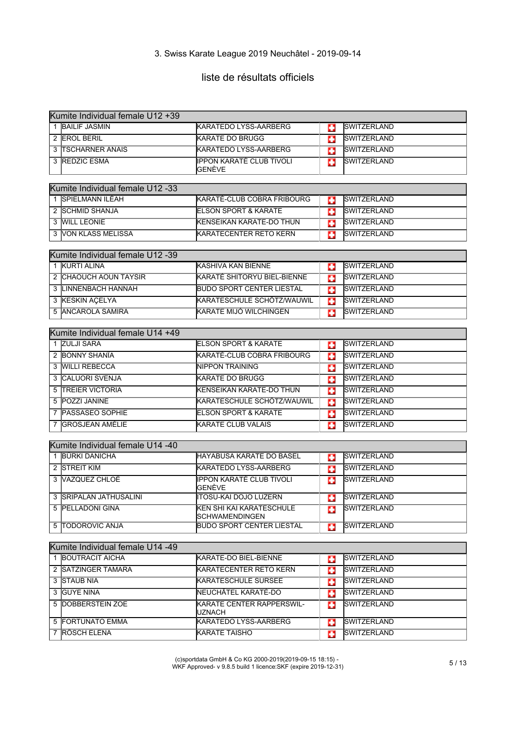# liste de résultats officiels

| Kumite Individual female U12 +39 |                                                               |    |                                          |  |
|----------------------------------|---------------------------------------------------------------|----|------------------------------------------|--|
| 1 BAILIF JASMIN                  | <b>KARATEDO LYSS-AARBERG</b>                                  | п  | <b>SWITZERLAND</b>                       |  |
| 2 EROL BERIL                     | <b>KARATE DO BRUGG</b>                                        | Ð  | <b>SWITZERLAND</b>                       |  |
| 3 TSCHARNER ANAIS                | <b>KARATEDO LYSS-AARBERG</b>                                  | o  | <b>SWITZERLAND</b>                       |  |
| 3 REDZIC ESMA                    | <b>IPPON KARATÉ CLUB TIVOLI</b><br>GENÈVE                     | o  | SWITZERLAND                              |  |
| Kumite Individual female U12 -33 |                                                               |    |                                          |  |
| 1 SPIELMANN ILÉAH                | KARATÉ-CLUB COBRA FRIBOURG                                    | o  | <b>SWITZERLAND</b>                       |  |
| 2 SCHMID SHANJA                  | <b>ELSON SPORT &amp; KARATE</b>                               | o  | <b>SWITZERLAND</b>                       |  |
| 3 WILL LEONIE                    | KENSEIKAN KARATE-DO THUN                                      | o  | <b>SWITZERLAND</b>                       |  |
| 3 VON KLASS MELISSA              | <b>KARATECENTER RETO KERN</b>                                 | п  | <b>SWITZERLAND</b>                       |  |
|                                  |                                                               |    |                                          |  |
| Kumite Individual female U12 -39 |                                                               |    |                                          |  |
| 1 KURTI ALINA                    | KASHIVA KAN BIENNE                                            | o  | <b>SWITZERLAND</b>                       |  |
| 2 CHAOUCH AOUN TAYSIR            | KARATÉ SHITORYU BIEL-BIENNE                                   | o  | <b>SWITZERLAND</b>                       |  |
| 3 LINNENBACH HANNAH              | <b>BUDO SPORT CENTER LIESTAL</b>                              | o  | <b>SWITZERLAND</b>                       |  |
| 3 KESKIN AÇELYA                  | KARATESCHULE SCHÖTZ/WAUWIL                                    | o  | <b>SWITZERLAND</b>                       |  |
| 5 ANCAROLA SAMIRA                | KARATE MIJÓ WILCHINGEN                                        | G  | <b>SWITZERLAND</b>                       |  |
|                                  |                                                               |    |                                          |  |
| Kumite Individual female U14 +49 |                                                               |    |                                          |  |
| 1 ZULJI SARA<br>2 BONNY SHANIA   | <b>ELSON SPORT &amp; KARATE</b><br>KARATÉ-CLUB COBRA FRIBOURG | o  | <b>SWITZERLAND</b><br><b>SWITZERLAND</b> |  |
|                                  |                                                               | o  |                                          |  |
| 3 WILLI REBECCA                  | <b>NIPPON TRAINING</b>                                        | o  | <b>SWITZERLAND</b>                       |  |
| 3 CALUORI SVENJA                 | <b>KARATE DO BRUGG</b>                                        | o  | SWITZERLAND                              |  |
| <b>TREIER VICTORIA</b><br>5      | <b>KENSEIKAN KARATE-DO THUN</b>                               | o  | <b>SWITZERLAND</b>                       |  |
| 5 POZZI JANINE                   | KARATESCHULE SCHÖTZ/WAUWIL                                    | o  | SWITZERLAND                              |  |
| 7 PASSASEO SOPHIE                | <b>ELSON SPORT &amp; KARATE</b>                               | o  | SWITZERLAND                              |  |
| 7 GROSJEAN AMÉLIE                | <b>KARATE CLUB VALAIS</b>                                     | o  | <b>SWITZERLAND</b>                       |  |
| Kumite Individual female U14 -40 |                                                               |    |                                          |  |
| 1 BÜRKI DANICHA                  | <b>HAYABUSA KARATE DO BASEL</b>                               | Ð  | <b>SWITZERLAND</b>                       |  |
| 2 STREIT KIM                     | <b>KARATEDO LYSS-AARBERG</b>                                  | o  | <b>SWITZERLAND</b>                       |  |
| 3 VAZQUEZ CHLOÉ                  | <b>IPPON KARATÉ CLUB TIVOLI</b>                               | œ  | <b>SWITZERLAND</b>                       |  |
| 3 SRIPALAN JATHUSALINI           | GENÉVE<br><b>ITOSU-KAI DOJO LUZERN</b>                        | C. | SWITZERLAND                              |  |
| 5 PELLADONI GINA                 | KEN SHI KAI KARATESCHULE                                      | ш  | <b>SWITZERLAND</b>                       |  |
| 5 TODOROVIC ANJA                 | SCHWAMENDINGEN<br><b>BUDO SPORT CENTER LIESTAL</b>            | G  | SWITZERLAND                              |  |
|                                  |                                                               |    |                                          |  |
| Kumite Individual female U14 -49 |                                                               |    |                                          |  |
| 1 BOUTRACIT AICHA                | KARATE-DO BIEL-BIENNE                                         | o  | <b>SWITZERLAND</b>                       |  |
| 2 SATZINGER TAMARA               | <b>KARATECENTER RETO KERN</b>                                 | Ð  | SWITZERLAND                              |  |
| 3 STAUB NIA                      | KARATESCHULE SURSEE                                           | o  | <b>SWITZERLAND</b>                       |  |
| 3 GUYE NINA                      | NEUCHÂTEL KARATÉ-DO                                           | o  | SWITZERLAND                              |  |
| 5 DOBBERSTEIN ZOE                | KARATE CENTER RAPPERSWIL-<br>UZNACH                           | o  | <b>SWITZERLAND</b>                       |  |
| 5 FORTUNATO EMMA                 | KARATEDO LYSS-AARBERG                                         | G  | SWITZERLAND                              |  |
| 7 RÖSCH ELENA                    | <b>KARATE TAISHO</b>                                          | o  | SWITZERLAND                              |  |
|                                  |                                                               |    |                                          |  |

(c)sportdata GmbH & Co KG 2000-2019(2019-09-15 18:15) - WKF Approved- v 9.8.5 build 1 licence:SKF (expire 2019-12-31) 5 / 13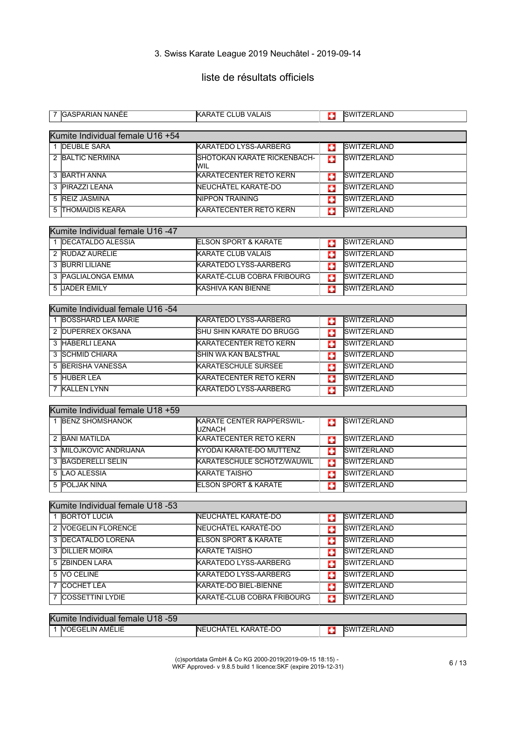# liste de résultats officiels

| 7 IGASPARIAN NANEE               | <b>IKARATE CLUB VALAIS</b>         | Ð  | <b>ISWITZERLAND</b> |
|----------------------------------|------------------------------------|----|---------------------|
|                                  |                                    |    |                     |
| Kumite Individual female U16 +54 |                                    |    |                     |
| 1 <b>DEUBLE SARA</b>             | <b>KARATEDO LYSS-AARBERG</b>       | ш  | <b>SWITZERLAND</b>  |
| 2 BALTIC NERMINA                 | SHOTOKAN KARATE RICKENBACH-<br>WIL | ш  | <b>SWITZERLAND</b>  |
| 3 BARTH ANNA                     | KARATECENTER RETO KERN             | п  | <b>SWITZERLAND</b>  |
| 3 PIRAZZI LEANA                  | NEUCHÂTEL KARATÉ-DO                | ÷  | <b>SWITZERLAND</b>  |
| 5 REIZ JASMINA                   | <b>NIPPON TRAINING</b>             | o  | <b>SWITZERLAND</b>  |
| <b>5 THOMAIDIS KEARA</b>         | <b>KARATECENTER RETO KERN</b>      | o  | <b>SWITZERLAND</b>  |
| Kumite Individual female U16 -47 |                                    |    |                     |
| 1 DECATALDO ALESSIA              | <b>ELSON SPORT &amp; KARATE</b>    |    | <b>SWITZERLAND</b>  |
| 2 RUDAZ AURÉLIE                  | <b>KARATE CLUB VALAIS</b>          | ш  | <b>SWITZERLAND</b>  |
| 3 BURRI LILIANE                  | <b>KARATEDO LYSS-AARBERG</b>       | п  | <b>SWITZERLAND</b>  |
|                                  |                                    | ш  |                     |
| 3 PAGLIALONGA EMMA               | KARATÉ-CLUB COBRA FRIBOURG         | o  | <b>SWITZERLAND</b>  |
| 5 JADER EMILY                    | KASHIVA KAN BIENNE                 | o  | <b>SWITZERLAND</b>  |
| Kumite Individual female U16 -54 |                                    |    |                     |
| 1 BOSSHARD LEA MARIE             | KARATEDO LYSS-AARBERG              | ш  | <b>SWITZERLAND</b>  |
| 2 DUPERREX OKSANA                | <b>SHU SHIN KARATE DO BRUGG</b>    | o  | <b>SWITZERLAND</b>  |
| 3 HÄBERLI LEANA                  | <b>KARATECENTER RETO KERN</b>      |    | <b>SWITZERLAND</b>  |
| 3 SCHMID CHIARA                  | SHIN WA KAN BALSTHAL               | ш  | <b>SWITZERLAND</b>  |
| 5 BERISHA VANESSA                | <b>KARATESCHULE SURSEE</b>         | п  | <b>SWITZERLAND</b>  |
|                                  |                                    | o  |                     |
| 5 HUBER LEA                      | KARATECENTER RETO KERN             | ш  | SWITZERLAND         |
| 7 KALLEN LYNN                    | <b>KARATEDO LYSS-AARBERG</b>       | o  | <b>SWITZERLAND</b>  |
| Kumite Individual female U18 +59 |                                    |    |                     |
| 1 BENZ SHOMSHANOK                | KARATE CENTER RAPPERSWIL-          | ш  | <b>SWITZERLAND</b>  |
|                                  | UZNACH                             |    |                     |
| 2 BÄNI MATILDA                   | <b>KARATECENTER RETO KERN</b>      | C. | <b>SWITZERLAND</b>  |
| 3 IMILOJKOVIC ANDRIJANA          | KYODAI KARATE-DO MUTTENZ           | o  | <b>SWITZERLAND</b>  |
| 3 BAGDERELLI SELIN               | KARATESCHULE SCHÖTZ/WAUWIL         | Ð  | <b>SWITZERLAND</b>  |
| 5 LAO ALESSIA                    | <b>KARATE TAISHO</b>               | o  | <b>SWITZERLAND</b>  |
| 5 POLJAK NINA                    | <b>ELSON SPORT &amp; KARATE</b>    | o  | <b>SWITZERLAND</b>  |
|                                  |                                    |    |                     |
| Kumite Individual female U18 -53 |                                    |    |                     |
| 1 BORTOT LUCIA                   | NEUCHÂTEL KARATÉ-DO                | o  | <b>SWITZERLAND</b>  |
| 2 VOEGELIN FLORENCE              | NEUCHÂTEL KARATÉ-DO                | o  | <b>SWITZERLAND</b>  |
| 3 DECATALDO LORENA               | <b>ELSON SPORT &amp; KARATE</b>    | Ð  | SWITZERLAND         |
| 3 DILLIER MOIRA                  | KARATE TAISHO                      | o  | <b>SWITZERLAND</b>  |
| 5 ZBINDEN LARA                   | <b>KARATEDO LYSS-AARBERG</b>       | ш  | SWITZERLAND         |
| 5 VO CELINE                      | KARATEDO LYSS-AARBERG              | o  | SWITZERLAND         |
| 7 COCHET LÉA                     | KARATE-DO BIEL-BIENNE              | o  | <b>SWITZERLAND</b>  |
| 7 COSSETTINI LYDIE               | KARATÉ-CLUB COBRA FRIBOURG         | o  | SWITZERLAND         |
|                                  |                                    |    |                     |
| Kumite Individual female U18 -59 |                                    |    |                     |
| 1 VOEGELIN AMÉLIE                | NEUCHÂTEL KARATÉ-DO                | C. | <b>SWITZERLAND</b>  |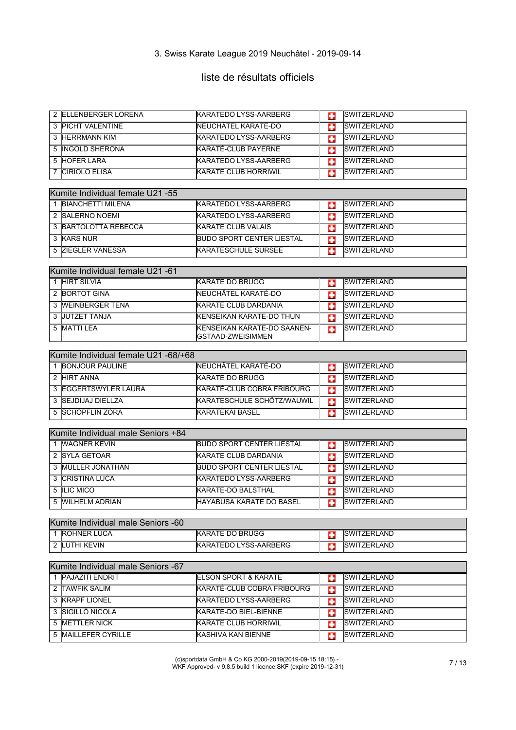# liste de résultats officiels

| 2 ELLENBERGER LORENA                 | KARATEDO LYSS-AARBERG             | o  | SWITZERLAND        |
|--------------------------------------|-----------------------------------|----|--------------------|
| 3 PICHT VALENTINE                    | NEUCHÂTEL KARATÉ-DO               | o  | <b>SWITZERLAND</b> |
| 3 HERRMANN KIM                       | <b>KARATEDO LYSS-AARBERG</b>      | o  | <b>SWITZERLAND</b> |
| 5 INGOLD SHERONA                     | KARATÉ-CLUB PAYERNE               | o  | <b>SWITZERLAND</b> |
| 5 HOFER LARA                         | KARATEDO LYSS-AARBERG             | o  | <b>SWITZERLAND</b> |
| <b>CIRIOLO ELISA</b><br>7            | <b>KARATE CLUB HORRIWIL</b>       | o  | <b>SWITZERLAND</b> |
|                                      |                                   |    |                    |
| Kumite Individual female U21 -55     |                                   |    |                    |
| 1 BIANCHETTI MILENA                  | KARATEDO LYSS-AARBERG             | o  | <b>SWITZERLAND</b> |
| 2 SALERNO NOEMI                      | KARATEDO LYSS-AARBERG             | C. | <b>SWITZERLAND</b> |
| <b>3 BARTOLOTTA REBECCA</b>          | <b>KARATE CLUB VALAIS</b>         | п  | <b>SWITZERLAND</b> |
| 3 KARS NUR                           | <b>IBUDO SPORT CENTER LIESTAL</b> | o  | <b>SWITZERLAND</b> |
| 5 ZIEGLER VANESSA                    | <b>KARATESCHULE SURSEE</b>        | o  | <b>SWITZERLAND</b> |
|                                      |                                   |    |                    |
| Kumite Individual female U21 -61     |                                   |    |                    |
| 1 HIRT SILVIA                        | <b>KARATE DO BRUGG</b>            | o  | <b>SWITZERLAND</b> |
| 2 BORTOT GINA                        | NEUCHÂTEL KARATÉ-DO               | o  | <b>SWITZERLAND</b> |
| 3 WEINBERGER TENA                    | <b>KARATE CLUB DARDANIA</b>       | o  | <b>SWITZERLAND</b> |
| 3 JUTZET TANJA                       | KENSEIKAN KARATE-DO THUN          | o  | <b>SWITZERLAND</b> |
| 5 MATTI LEA                          | KENSEIKAN KARATE-DO SAANEN-       | o  | <b>SWITZERLAND</b> |
|                                      | GSTAAD-ZWEISIMMEN                 |    |                    |
| Kumite Individual female U21 -68/+68 |                                   |    |                    |
| 1 BONJOUR PAULINE                    | NEUCHÂTEL KARATÉ-DO               | п  | <b>SWITZERLAND</b> |
| 2 HIRT ANNA                          | <b>KARATE DO BRUGG</b>            | o  | <b>SWITZERLAND</b> |
| 3 <b>IEGGERTSWYLER LAURA</b>         | KARATÉ-CLUB COBRA FRIBOURG        | o  | <b>SWITZERLAND</b> |
| 3 SEJDIJAJ DIELLZA                   | KARATESCHULE SCHÖTZ/WAUWIL        | o  | SWITZERLAND        |
| 5 SCHÖPFLIN ZORA                     | KARATEKAI BASEL                   | o  | <b>SWITZERLAND</b> |
|                                      |                                   |    |                    |
| Kumite Individual male Seniors +84   |                                   |    |                    |
| 1 <b>WAGNER KEVIN</b>                | <b>BUDO SPORT CENTER LIESTAL</b>  | п  | <b>SWITZERLAND</b> |
| 2 SYLA GETOAR                        | KARATE CLUB DARDANIA              | o  | <b>SWITZERLAND</b> |
| 3 MÜLLER JONATHAN                    | <b>BUDO SPORT CENTER LIESTAL</b>  | o  | <b>SWITZERLAND</b> |
| <b>CRISTINA LUCA</b><br>3            | <b>KARATEDO LYSS-AARBERG</b>      | o  | <b>SWITZERLAND</b> |
| 5 ILIC MICO                          | KARATE-DO BALSTHAL                | G  | SWITZERLAND        |
| 5 WILHELM ADRIAN                     | HAYABUSA KARATE DO BASEL          | æ  | <b>SWITZERLAND</b> |
|                                      |                                   |    |                    |
| Kumite Individual male Seniors -60   |                                   |    |                    |
| 1 ROHNER LUCA                        | <b>KARATE DO BRUGG</b>            | ш  | <b>SWITZERLAND</b> |
| 2 LÜTHI KEVIN                        | KARATEDO LYSS-AARBERG             | ш  | SWITZERLAND        |
|                                      |                                   |    |                    |
| Kumite Individual male Seniors -67   |                                   |    |                    |
| 1 PAJAZITI ENDRIT                    | <b>ELSON SPORT &amp; KARATE</b>   | о  | <b>SWITZERLAND</b> |
| 2 TAWFIK SALIM                       | KARATÉ-CLUB COBRA FRIBOURG        | o  | <b>SWITZERLAND</b> |
| 3 KRAPF LIONEL                       | KARATEDO LYSS-AARBERG             | o  | <b>SWITZERLAND</b> |
| 3 SIGILLÒ NICOLA                     | KARATE-DO BIEL-BIENNE             | п  | <b>SWITZERLAND</b> |
| 5 METTLER NICK                       | <b>KARATE CLUB HORRIWIL</b>       | o  | SWITZERLAND        |
| 5 MAILLEFER CYRILLE                  | KASHIVA KAN BIENNE                | п  | SWITZERLAND        |

(c)sportdata GmbH & Co KG 2000-2019(2019-09-15 18:15) - WKF Approved- v 9.8.5 build 1 licence:SKF (expire 2019-12-31) 7 / 13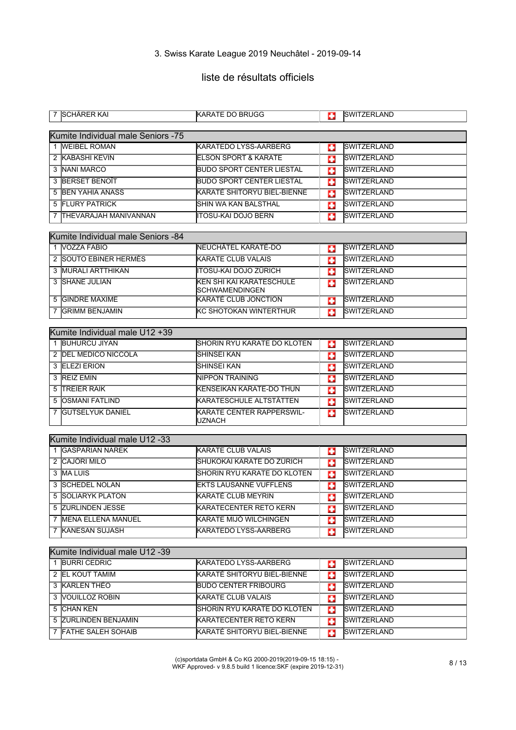# liste de résultats officiels

|   | 7 ISCHARER KAI                     | <b>IKARATE DO BRUGG</b>                                  | o | <b>SWITZERLAND</b> |
|---|------------------------------------|----------------------------------------------------------|---|--------------------|
|   |                                    |                                                          |   |                    |
|   | Kumite Individual male Seniors -75 |                                                          |   |                    |
|   | 1 WEIBEL ROMAN                     | <b>KARATEDO LYSS-AARBERG</b>                             | п | <b>SWITZERLAND</b> |
|   | 2 KABASHI KEVIN                    | <b>ELSON SPORT &amp; KARATE</b>                          | o | <b>SWITZERLAND</b> |
|   | 3 NANI MARCO                       | <b>BUDO SPORT CENTER LIESTAL</b>                         | o | <b>SWITZERLAND</b> |
|   | 3 BERSET BENOIT                    | <b>BUDO SPORT CENTER LIESTAL</b>                         | п | SWITZERLAND        |
|   | 5 BEN YAHIA ANASS                  | KARATÉ SHITORYU BIEL-BIENNE                              | o | <b>SWITZERLAND</b> |
|   | <b>5 FLURY PATRICK</b>             | <b>SHIN WA KAN BALSTHAL</b>                              | п | <b>SWITZERLAND</b> |
|   | 7 THEVARAJAH MANIVANNAN            | <b>ITOSU-KAI DOJO BERN</b>                               | o | SWITZERLAND        |
|   |                                    |                                                          |   |                    |
|   | Kumite Individual male Seniors -84 |                                                          |   |                    |
|   | 1 VOZZA FABIO                      | NEUCHÂTEL KARATÉ-DO                                      | o | <b>SWITZERLAND</b> |
|   | 2 SOUTO EBINER HERMÈS              | <b>KARATE CLUB VALAIS</b>                                | п | SWITZERLAND        |
|   | 3 MURALI ARTTHIKAN                 | <b>ITOSU-KAI DOJO ZÜRICH</b>                             | o | <b>SWITZERLAND</b> |
|   | 3 SHANE JULIAN                     | <b>KEN SHI KAI KARATESCHULE</b><br><b>SCHWAMENDINGEN</b> | п | <b>SWITZERLAND</b> |
|   | 5 GINDRE MAXIME                    | <b>KARATÉ CLUB JONCTION</b>                              | Ð | SWITZERLAND        |
| 7 | <b>GRIMM BENJAMIN</b>              | KC SHOTOKAN WINTERTHUR                                   | o | SWITZERLAND        |
|   |                                    |                                                          |   |                    |
|   | Kumite Individual male U12 +39     |                                                          |   |                    |
|   | 1 BUHURCU JIYAN                    | SHORIN RYU KARATE DO KLOTEN                              | o | <b>SWITZERLAND</b> |
|   | 2 DEL MEDICO NICCOLA               | <b>SHINSEI KAN</b>                                       | Œ | <b>SWITZERLAND</b> |
|   | 3 ELEZI ERION                      | SHINSEI KAN                                              | o | <b>SWITZERLAND</b> |
|   | 3 REIZ EMIN                        | NIPPON TRAINING                                          | о | <b>SWITZERLAND</b> |
| 5 | <b>TREIER RAIK</b>                 | KENSEIKAN KARATE-DO THUN                                 | п | <b>SWITZERLAND</b> |
|   | 5 OSMANI FATLIND                   | KARATESCHULE ALTSTÄTTEN                                  | o | <b>SWITZERLAND</b> |
|   | 7 GUTSELYUK DANIEL                 | KARATE CENTER RAPPERSWIL-<br>UZNACH                      | ш | <b>SWITZERLAND</b> |
|   | Kumite Individual male U12 -33     |                                                          |   |                    |
|   | 1 GASPARIAN NAREK                  | <b>KARATE CLUB VALAIS</b>                                | o | <b>SWITZERLAND</b> |
|   | 2 CAJÖRI MILO                      | SHUKOKAI KARATE DO ZÜRICH                                | o | <b>SWITZERLAND</b> |
|   | 3 MA LUIS                          | SHORIN RYU KARATE DO KLOTEN                              | o | SWITZERLAND        |
|   | 3 SCHEDEL NOLAN                    | <b>EKTS LAUSANNE VUFFLENS</b>                            | o | SWITZERLAND        |
| 5 | <b>SOLIARYK PLATON</b>             | KARATÉ CLUB MEYRIN                                       | п | <b>SWITZERLAND</b> |
|   | 5 ZURLINDEN JESSE                  | KARATECENTER RETO KERN                                   | o | <b>SWITZERLAND</b> |
|   | 7 MENA ELLENA MANUEL               | KARATE MIJÓ WILCHINGEN                                   | o | SWITZERLAND        |
|   | 7 KANESAN SUJASH                   | KARATEDO LYSS-AARBERG                                    |   | <b>SWITZERLAND</b> |
|   |                                    |                                                          | œ |                    |
|   | Kumite Individual male U12 -39     |                                                          |   |                    |
|   | 1 BURRI CEDRIC                     | KARATEDO LYSS-AARBERG                                    | ю | SWITZERLAND        |
|   | 2 EL KOUT TAMIM                    | KARATÉ SHITORYU BIEL-BIENNE                              | o | <b>SWITZERLAND</b> |
|   | 3 KARLEN THÉO                      | <b>BUDO CENTER FRIBOURG</b>                              | o | SWITZERLAND        |
|   | 3 <b>VOUILLOZ ROBIN</b>            | <b>KARATE CLUB VALAIS</b>                                | o | SWITZERLAND        |
|   | 5 CHAN KEN                         | SHORIN RYU KARATE DO KLOTEN                              | o | <b>SWITZERLAND</b> |
|   | 5 ZURLINDEN BENJAMIN               | <b>KARATECENTER RETO KERN</b>                            | o | SWITZERLAND        |
|   | 7 FATHE SALEH SOHAIB               | KARATÉ SHITORYU BIEL-BIENNE                              | o | SWITZERLAND        |
|   |                                    |                                                          |   |                    |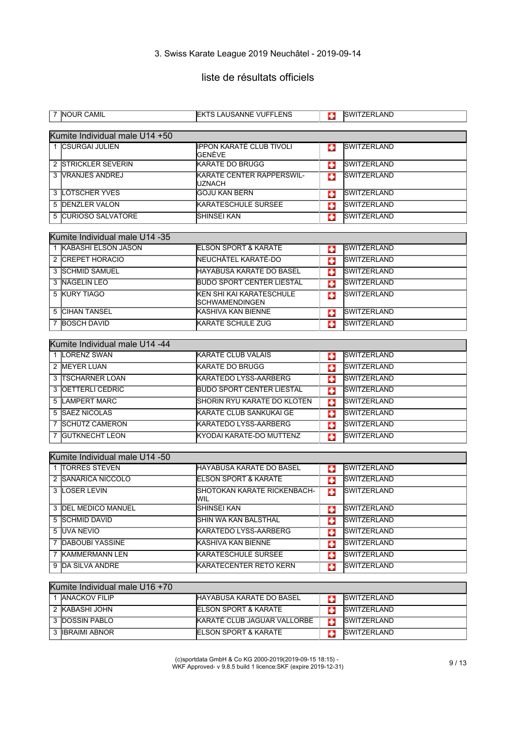# liste de résultats officiels

|   | 7 NOUR CAMIL                   | <b>IEKTS LAUSANNE VUFFLENS</b>                    | o | <b>SWITZERLAND</b>  |
|---|--------------------------------|---------------------------------------------------|---|---------------------|
|   | Kumite Individual male U14 +50 |                                                   |   |                     |
|   | 1 CSURGAI JULIEN               | IPPON KARATÉ CLUB TIVOLI<br>GENÈVE                | o | <b>SWITZERLAND</b>  |
|   | 2 STRICKLER SEVERIN            | <b>KARATE DO BRUGG</b>                            | o | <b>SWITZERLAND</b>  |
|   | 3 VRANJES ANDREJ               | <b>KARATE CENTER RAPPERSWIL-</b><br>UZNACH        | o | <b>SWITZERLAND</b>  |
|   | 3 LÖTSCHER YVES                | <b>GOJU KAN BERN</b>                              | o | SWITZERLAND         |
|   | 5 DENZLER VALON                | <b>KARATESCHULE SURSEE</b>                        | o | <b>SWITZERLAND</b>  |
|   | 5 CURIOSO SALVATORE            | SHINSEI KAN                                       | Ф | <b>SWITZERLAND</b>  |
|   | Kumite Individual male U14 -35 |                                                   |   |                     |
|   | 1 KABASHI ELSON JASON          | <b>ELSON SPORT &amp; KARATE</b>                   | о | <b>SWITZERLAND</b>  |
|   | 2 CREPET HORACIO               | NEUCHÂTEL KARATÉ-DO                               | o | <b>SWITZERLAND</b>  |
|   | 3 SCHMID SAMUEL                | HAYABUSA KARATE DO BASEL                          | o | SWITZERLAND         |
|   | 3 NÄGELIN LEO                  | <b>BUDO SPORT CENTER LIESTAL</b>                  | o | <b>SWITZERLAND</b>  |
|   | 5 KURY TIAGO                   | KEN SHI KAI KARATESCHULE<br><b>SCHWAMENDINGEN</b> | п | <b>SWITZERLAND</b>  |
|   | <b>5 CIHAN TANSEL</b>          | KASHIVA KAN BIENNE                                | п | SWITZERLAND         |
|   | 7 BOSCH DAVID                  | <b>KARATE SCHULE ZUG</b>                          | o | SWITZERLAND         |
|   |                                |                                                   |   |                     |
|   | Kumite Individual male U14 -44 |                                                   |   |                     |
|   | 1 LORENZ SWAN                  | <b>KARATE CLUB VALAIS</b>                         | o | <b>SWITZERLAND</b>  |
|   | 2 MEYER LUAN                   | <b>KARATE DO BRUGG</b>                            | G | SWITZERLAND         |
|   | 3 TSCHARNER LOAN               | <b>KARATEDO LYSS-AARBERG</b>                      | o | <b>SWITZERLAND</b>  |
|   | <b>3 OETTERLI CEDRIC</b>       | <b>BUDO SPORT CENTER LIESTAL</b>                  | п | <b>SWITZERLAND</b>  |
|   | 5 LAMPERT MARC                 | <b>SHORIN RYU KARATE DO KLOTEN</b>                | o | SWITZERLAND         |
|   | <b>5 SAEZ NICOLAS</b>          | <b>KARATE CLUB SANKUKAI GE</b>                    | o | <b>SWITZERLAND</b>  |
|   | 7 SCHÜTZ CAMERON               | <b>KARATEDO LYSS-AARBERG</b>                      | G | SWITZERLAND         |
|   | 7 GUTKNECHT LEON               | KYODAI KARATE-DO MUTTENZ                          | o | <b>SWITZERLAND</b>  |
|   |                                |                                                   |   |                     |
|   | Kumite Individual male U14 -50 |                                                   |   |                     |
|   | 1 TORRES STEVEN                | <b>IHAYABUSA KARATE DO BASEL</b>                  | o | <b>SWITZERLAND</b>  |
|   | 2 SANARICA NICCOLO             | <b>ELSON SPORT &amp; KARATE</b>                   | o | <b>SWITZERLAND</b>  |
| 3 | <b>LOSER LEVIN</b>             | SHOTOKAN KARATE RICKENBACH-<br>WIL.               | o | <b>SWITZERLAND</b>  |
|   | 3 DEL MEDICO MANUEL            | SHINSEI KAN                                       | o | <b>SWITZERLAND</b>  |
|   | 5 SCHMID DAVID                 | SHIN WA KAN BALSTHAL                              | o | SWITZERLAND         |
|   | 5 UVA NEVIO                    | KARATEDO LYSS-AARBERG                             | o | <b>SWITZERLAND</b>  |
|   | 7 DABOUBI YASSINE              | KASHIVA KAN BIENNE                                | o | SWITZERLAND         |
|   | 7 KAMMERMANN LEN               | <b>KARATESCHULE SURSEE</b>                        | o | <b>SWITZERLAND</b>  |
|   | 9 DA SILVA ANDRE               | KARATECENTER RETO KERN                            | ш | SWITZERLAND         |
|   | Kumite Individual male U16 +70 |                                                   |   |                     |
|   | 1 ANACKOV FILIP                | HAYABUSA KARATE DO BASEL                          | о | <b>SWITZERLAND</b>  |
|   | 2 KABASHI JOHN                 | ELSON SPORT & KARATE                              | o | <b>ISWITZERLAND</b> |
|   | 3 DOSSIN PABLO                 | KARATÉ CLUB JAGUAR VALLORBE                       | o | <b>SWITZERLAND</b>  |
|   | 3 <b>IBRAIMI ABNOR</b>         | ELSON SPORT & KARATE                              | o | SWITZERLAND         |
|   |                                |                                                   |   |                     |

(c)sportdata GmbH & Co KG 2000-2019(2019-09-15 18:15) - WKF Approved- v 9.8.5 build 1 licence:SKF (expire 2019-12-31) 9 / 13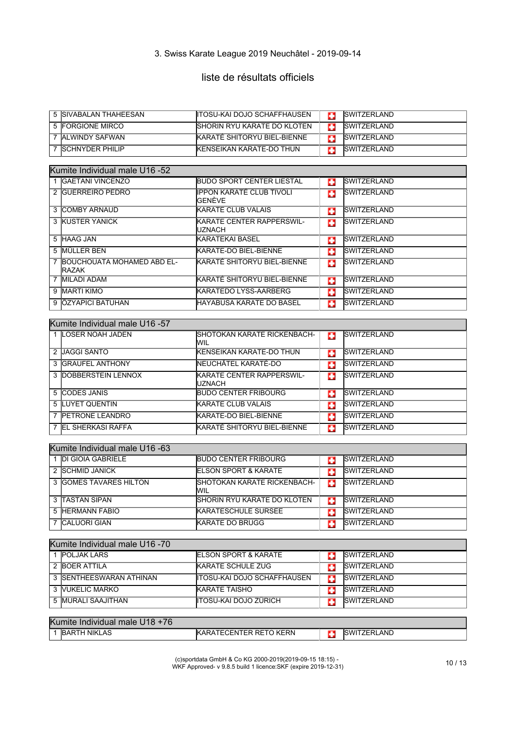# liste de résultats officiels

| 5 ISIVABALAN THAHEESAN | <b>IITOSU-KAI DOJO SCHAFFHAUSEN</b> | <b>ISWITZERLAND</b> |
|------------------------|-------------------------------------|---------------------|
| 5 FORGIONE MIRCO       | <b>ISHORIN RYU KARATE DO KLOTEN</b> | <b>ISWITZERLAND</b> |
| ' IALWINDY SAFWAN      | <b>KARATÉ SHITORYU BIEL-BIENNE</b>  | <b>ISWITZERLAND</b> |
| 7 ISCHNYDER PHILIP     | <b>IKENSEIKAN KARATE-DO THUN</b>    | <b>ISWITZERLAND</b> |

| Kumite Individual male U16 -52                |                                                     |   |                     |  |  |
|-----------------------------------------------|-----------------------------------------------------|---|---------------------|--|--|
| 1 GAETANI VINCENZO                            | <b>BUDO SPORT CENTER LIESTAL</b>                    | п | <b>SWITZERLAND</b>  |  |  |
| 2 GUERREIRO PEDRO                             | IIPPON KARATÉ CLUB TIVOLI<br><b>I</b> GFNÈVF        | o | <b>SWITZERLAND</b>  |  |  |
| 3 ICOMBY ARNAUD                               | <b>IKARATE CLUB VALAIS</b>                          | o | <b>SWITZERLAND</b>  |  |  |
| 3 KUSTER YANICK                               | <b>IKARATE CENTER RAPPERSWIL-</b><br><b>IUZNACH</b> | o | <b>SWITZERLAND</b>  |  |  |
| 5 HAAG JAN                                    | <b>KARATEKAI BASEL</b>                              | o | <b>SWITZERLAND</b>  |  |  |
| 5 MÜLLER BEN                                  | KARATE-DO BIEL-BIENNE                               | o | <b>SWITZERLAND</b>  |  |  |
| 7 BOUCHOUATA MOHAMED ABD EL-<br><b>IRAZAK</b> | KARATÉ SHITORYU BIEL-BIENNE                         | п | <b>SWITZERLAND</b>  |  |  |
| 7 MILADI ADAM                                 | KARATÉ SHITORYU BIEL-BIENNE                         | п | <b>ISWITZERLAND</b> |  |  |
| 9 MARTI KIMO                                  | <b>KARATEDO LYSS-AARBERG</b>                        | ш | <b>SWITZERLAND</b>  |  |  |
| 9 ÖZYAPICI BATUHAN                            | IHAYABUSA KARATE DO BASEL                           | о | <b>SWITZERLAND</b>  |  |  |

| Kumite Individual male U16 -57 |                                                    |   |                     |  |  |
|--------------------------------|----------------------------------------------------|---|---------------------|--|--|
| 1 LOSER NOAH JADEN             | <b>ISHOTOKAN KARATE RICKENBACH-</b><br>WIL         | Ф | <b>SWITZERLAND</b>  |  |  |
| 2 IJAGGI SANTO                 | <b>IKENSEIKAN KARATE-DO THUN</b>                   | ÷ | <b>SWITZERLAND</b>  |  |  |
| 3 <b>IGRAUFEL ANTHONY</b>      | NEUCHÂTEL KARATÉ-DO                                | ÷ | <b>SWITZERLAND</b>  |  |  |
| 3 DOBBERSTEIN LENNOX           | <b>KARATE CENTER RAPPERSWIL-</b><br><b>IUZNACH</b> | п | <b>SWITZERLAND</b>  |  |  |
| 5 CODES JANIS                  | <b>BUDO CENTER FRIBOURG</b>                        | ÷ | <b>SWITZERLAND</b>  |  |  |
| 5 LUYET QUENTIN                | <b>KARATE CLUB VALAIS</b>                          | ÷ | <b>SWITZERLAND</b>  |  |  |
| 7 PETRONE LEANDRO              | KARATE-DO BIEL-BIENNE                              | п | <b>SWITZERLAND</b>  |  |  |
| 7 IEL SHERKASI RAFFA           | KARATÉ SHITORYU BIEL-BIENNE                        | æ | <b>ISWITZERLAND</b> |  |  |

| Kumite Individual male U16 -63 |                                            |   |                     |  |  |
|--------------------------------|--------------------------------------------|---|---------------------|--|--|
| 1 DI GIOIA GABRIELE            | <b>BUDO CENTER FRIBOURG</b>                |   | <b>SWITZERLAND</b>  |  |  |
| 2 ISCHMID JANICK               | <b>ELSON SPORT &amp; KARATE</b>            | ٠ | <b>ISWITZERLAND</b> |  |  |
| 3 GOMES TAVARES HILTON         | <b>ISHOTOKAN KARATE RICKENBACH-</b><br>Wil | ÷ | <b>SWITZERLAND</b>  |  |  |
| 3 ITASTAN SIPAN                | <b>ISHORIN RYU KARATE DO KLOTEN</b>        | ÷ | <b>ISWITZERLAND</b> |  |  |
| 5 HERMANN FABIO                | <b>KARATESCHULE SURSEE</b>                 | ÷ | <b>ISWITZERLAND</b> |  |  |
| 7 CALUORI GIAN                 | <b>KARATE DO BRUGG</b>                     |   | <b>SWITZERLAND</b>  |  |  |

| Kumite Individual male U16 -70 |                         |                                 |  |                    |
|--------------------------------|-------------------------|---------------------------------|--|--------------------|
|                                | <b>IPOLJAK LARS</b>     | <b>ELSON SPORT &amp; KARATE</b> |  | <b>SWITZERLAND</b> |
|                                | 2 BOER ATTILA           | <b>KARATE SCHULE ZUG</b>        |  | <b>SWITZERLAND</b> |
|                                | 3 SENTHEESWARAN ATHINAN | IITOSU-KAI DOJO SCHAFFHAUSEN    |  | <b>SWITZERLAND</b> |
|                                | 3 VUKELIC MARKO         | <b>KARATE TAISHO</b>            |  | <b>SWITZERLAND</b> |
|                                | 5 MURALI SAAJITHAN      | İITOSU-KAI DOJO ZÜRICH          |  | <b>SWITZERLAND</b> |

| Kumite Individual male U<br>$+76$<br>'18 |                    |  |                               |  |  |
|------------------------------------------|--------------------|--|-------------------------------|--|--|
| <b>IBARTH NIKLAS</b>                     | TECENTER RETO KERN |  | <b>ZERLAND</b><br><b>ISWI</b> |  |  |
|                                          |                    |  |                               |  |  |

(c)sportdata GmbH & Co KG 2000-2019(2019-09-15 18:15) - WKF Approved- v 9.8.5 build 1 licence:SKF (expire 2019-12-31) 10 / 13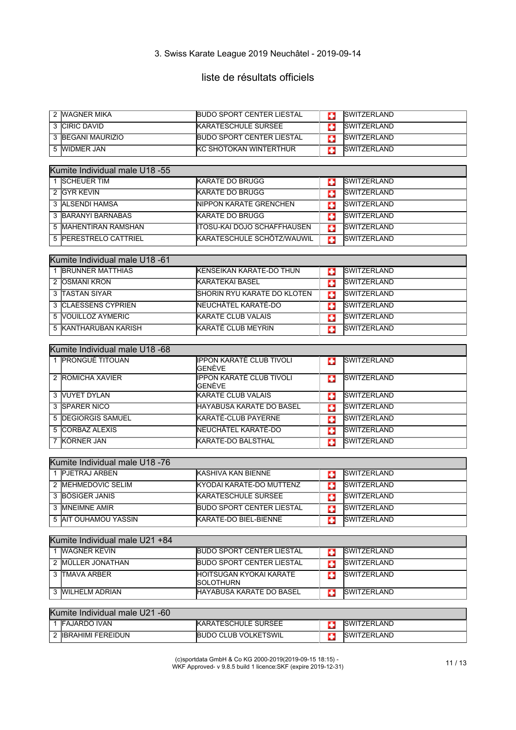# liste de résultats officiels

| 2 MAGNER MIKA     | <b>BUDO SPORT CENTER LIESTAL</b> | <b>ISWITZERLAND</b> |
|-------------------|----------------------------------|---------------------|
| 3 CIRIC DAVID     | <b>KARATESCHULE SURSEE</b>       | <b>ISWITZERLAND</b> |
| 3 BEGANI MAURIZIO | <b>BUDO SPORT CENTER LIESTAL</b> | <b>ISWITZERLAND</b> |
| ,WIDMER JAN       | <b>IKC SHOTOKAN WINTERTHUR</b>   | <b>ISWITZERLAND</b> |

| Kumite Individual male U18 -55 |                                |   |                     |  |
|--------------------------------|--------------------------------|---|---------------------|--|
| 1 SCHEUER TIM                  | <b>KARATE DO BRUGG</b>         |   | <b>ISWITZERLAND</b> |  |
| 2 IGYR KEVIN                   | <b>KARATE DO BRUGG</b>         |   | <b>ISWITZERLAND</b> |  |
| 3 ALSENDI HAMSA                | <b>INIPPON KARATE GRENCHEN</b> |   | <b>ISWITZERLAND</b> |  |
| 3 BARANYI BARNABAS             | KARATE DO BRUGG                |   | <b>SWITZERLAND</b>  |  |
| 5 MAHENTIRAN RAMSHAN           | ITOSU-KAI DOJO SCHAFFHAUSEN    | с | <b>SWITZERLAND</b>  |  |
| 5 PERESTRELO CATTRIEL          | KARATESCHULE SCHÖTZ/WAUWIL     | е | <b>ISWITZERLAND</b> |  |

| Kumite Individual male U18 -61 |                                     |   |                     |  |
|--------------------------------|-------------------------------------|---|---------------------|--|
| <b>BRUNNER MATTHIAS</b>        | <b>IKENSEIKAN KARATE-DO THUN</b>    |   | <b>SWITZERLAND</b>  |  |
| 2 OSMANI KRON                  | <b>KARATEKAI BASEL</b>              |   | <b>ISWITZERLAND</b> |  |
| 3 TASTAN SIYAR                 | <b>ISHORIN RYU KARATE DO KLOTEN</b> | o | <b>ISWITZERLAND</b> |  |
| 3 CLAESSENS CYPRIEN            | NEUCHÂTEL KARATÉ-DO                 | ٠ | <b>ISWITZERLAND</b> |  |
| 5 NOUILLOZ AYMERIC             | <b>KARATE CLUB VALAIS</b>           |   | <b>SWITZERLAND</b>  |  |
| 5 KANTHARUBAN KARISH           | KARATÉ CLUB MEYRIN                  |   | <b>ISWITZERLAND</b> |  |

| Kumite Individual male U18 -68 |  |                                                    |    |                     |
|--------------------------------|--|----------------------------------------------------|----|---------------------|
| <b>PRONGUÉ TITOUAN</b>         |  | <b>IPPON KARATÉ CLUB TIVOLI</b><br><b>I</b> GENÈVE | ÷  | <b>SWITZERLAND</b>  |
| 2 ROMICHA XAVIER               |  | IPPON KARATÉ CLUB TIVOLI<br><b>GENÈVE</b>          | o  | <b>SWITZERLAND</b>  |
| 3 VUYET DYLAN                  |  | <b>KARATE CLUB VALAIS</b>                          | ÷  | <b>SWITZERLAND</b>  |
| 3 ISPARER NICO                 |  | IHAYABUSA KARATE DO BASEL                          | c  | <b>SWITZERLAND</b>  |
| 5 <b>DEGIORGIS SAMUEL</b>      |  | KARATÉ-CLUB PAYERNE                                | ٠  | <b>ISWITZERLAND</b> |
| 5 CORBAZ ALEXIS                |  | INEUCHÂTEL KARATÉ-DO                               | ÷  | <b>SWITZERLAND</b>  |
| <b>IKÖRNER JAN</b>             |  | <b>IKARATE-DO BALSTHAL</b>                         | r. | <b>SWITZERLAND</b>  |

| Kumite Individual male U18 -76 |                                   |  |                     |  |
|--------------------------------|-----------------------------------|--|---------------------|--|
| PJETRAJ ARBEN                  | <b>KASHIVA KAN BIENNE</b>         |  | <b>ISWITZERLAND</b> |  |
| 2 IMEHMEDOVIC SELIM            | <b>IKYODAI KARATE-DO MUTTENZ</b>  |  | <b>ISWITZERLAND</b> |  |
| 3 BÖSIGER JANIS                | <b>KARATESCHULE SURSEE</b>        |  | <b>ISWITZERLAND</b> |  |
| 3 IMNEIMNE AMIR                | <b>IBUDO SPORT CENTER LIESTAL</b> |  | <b>ISWITZERLAND</b> |  |
| 5 IAIT OUHAMOU YASSIN          | KARATE-DO BIEL-BIENNE             |  | <b>ISWITZERLAND</b> |  |

| Kumite Individual male U21 +84 |                    |                                                      |  |                     |
|--------------------------------|--------------------|------------------------------------------------------|--|---------------------|
|                                | WAGNER KEVIN       | <b>BUDO SPORT CENTER LIESTAL</b>                     |  | <b>ISWITZERLAND</b> |
|                                | 2 IMÜLLER JONATHAN | <b>IBUDO SPORT CENTER LIESTAL</b>                    |  | <b>ISWITZERLAND</b> |
|                                | 3 ITMAVA ARBER     | <b>IHOITSUGAN KYOKAI KARATE</b><br><b>ISOLOTHURN</b> |  | <b>ISWITZERLAND</b> |
|                                | 3 MILHELM ADRIAN   | <b>IHAYABUSA KARATE DO BASEL</b>                     |  | <b>ISWITZERLAND</b> |

| Kumite Individual male U21 -60 |                          |                             |  |                     |  |
|--------------------------------|--------------------------|-----------------------------|--|---------------------|--|
|                                | <b>IFAJARDO IVAN</b>     | <b>KARATESCHULE SURSEE</b>  |  | <b>SWITZERLAND</b>  |  |
|                                | <b>IBRAHIMI FEREIDUN</b> | <b>BUDO CLUB VOLKETSWIL</b> |  | <b>ISWITZERLAND</b> |  |

(c)sportdata GmbH & Co KG 2000-2019(2019-09-15 18:15) - WKF Approved- v 9.8.5 build 1 licence:SKF (expire 2019-12-31) 11 / 13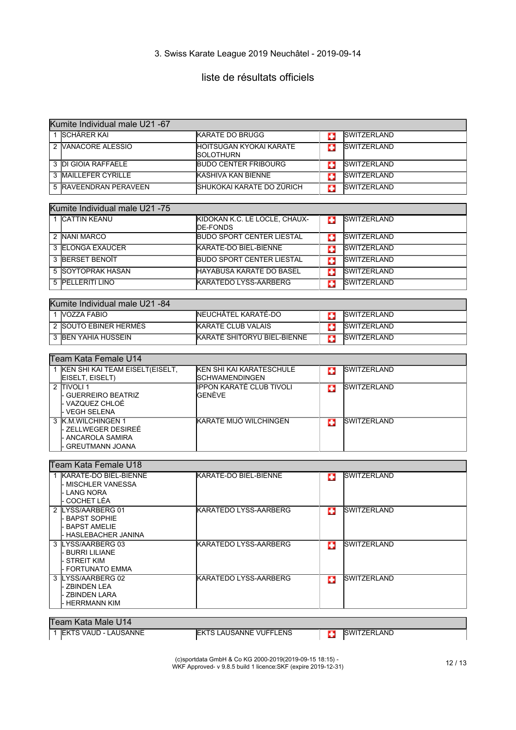# liste de résultats officiels

| Kumite Individual male U21 -67                                                                |                                                    |    |                    |
|-----------------------------------------------------------------------------------------------|----------------------------------------------------|----|--------------------|
| 1 <b>SCHÄRER KAI</b>                                                                          | <b>KARATE DO BRUGG</b>                             | o  | <b>SWITZERLAND</b> |
| 2 VANACORE ALESSIO                                                                            | HOITSUGAN KYOKAI KARATE<br>SOLOTHURN               | ш  | <b>SWITZERLAND</b> |
| 3 DI GIOIA RAFFAELE                                                                           | <b>BUDO CENTER FRIBOURG</b>                        | o  | <b>SWITZERLAND</b> |
| 3 MAILLEFER CYRILLE                                                                           | <b>KASHIVA KAN BIENNE</b>                          | o  | <b>SWITZERLAND</b> |
| 5 RAVEENDRAN PERAVEEN                                                                         | ISHUKOKAI KARATE DO ZÜRICH                         | o  | <b>SWITZERLAND</b> |
|                                                                                               |                                                    |    |                    |
| Kumite Individual male U21 -75                                                                |                                                    |    |                    |
| 1 CATTIN KEANU                                                                                | KIDOKAN K.C. LE LOCLE, CHAUX-<br><b>IDE-FONDS</b>  | C. | <b>SWITZERLAND</b> |
| 2 NANI MARCO                                                                                  | <b>BUDO SPORT CENTER LIESTAL</b>                   | G  | <b>SWITZERLAND</b> |
| 3 ELONGA EXAUCER                                                                              | KARATE-DO BIEL-BIENNE                              | E. | <b>SWITZERLAND</b> |
| <b>3 BERSET BENOIT</b>                                                                        | <b>IBUDO SPORT CENTER LIESTAL</b>                  | o  | <b>SWITZERLAND</b> |
| 5 SOYTOPRAK HASAN                                                                             | HAYABUSA KARATE DO BASEL                           | п  | <b>SWITZERLAND</b> |
| 5 PELLERITI LINO                                                                              | <b>KARATEDO LYSS-AARBERG</b>                       | o  | <b>SWITZERLAND</b> |
|                                                                                               |                                                    |    |                    |
| Kumite Individual male U21 -84                                                                |                                                    |    |                    |
| 1 VOZZA FABIO                                                                                 | NEUCHÂTEL KARATÉ-DO                                | o  | <b>SWITZERLAND</b> |
| 2 SOUTO EBINER HERMÈS                                                                         | <b>KARATE CLUB VALAIS</b>                          | o  | <b>SWITZERLAND</b> |
| 3 BEN YAHIA HUSSEIN                                                                           | KARATÉ SHITORYU BIEL-BIENNE                        | п  | <b>SWITZERLAND</b> |
|                                                                                               |                                                    |    |                    |
| Team Kata Female U14                                                                          |                                                    |    |                    |
| 1 KEN SHI KAI TEAM EISELT(EISELT,<br>EISELT, EISELT)                                          | <b>KEN SHI KAI KARATESCHULE</b><br> SCHWAMENDINGEN | п  | <b>SWITZERLAND</b> |
| 2 TIVOLI 1<br>- GUERREIRO BEATRIZ<br>- VAZQUEZ CHLOÉ<br>- VEGH SELENA                         | IPPON KARATÉ CLUB TIVOLI<br>GENÈVE                 | œ  | <b>SWITZERLAND</b> |
| 3 K.M.WILCHINGEN 1<br>- ZELLWEGER DESIREÉ<br><b>ANCAROLA SAMIRA</b><br><b>GREUTMANN JOANA</b> | KARATE MIJÓ WILCHINGEN                             | ш  | <b>SWITZERLAND</b> |
| Team Kata Female U18                                                                          |                                                    |    |                    |
| 1 KARATE-DO BIEL-BIENNE<br>- MISCHLER VANESSA<br><b>LANG NORA</b><br><b>COCHET LÉA</b>        | KARATE-DO BIEL-BIENNE                              | о  | <b>SWITZERLAND</b> |
| 2 LYSS/AARBERG 01<br>- BAPST SOPHIE<br>- BAPST AMELIE<br>- HASLEBACHER JANINA                 | KARATEDO LYSS-AARBERG                              |    | <b>SWITZERLAND</b> |
| 3 LYSS/AARBERG 03<br>- BURRI LILIANE<br>- STREIT KIM<br>- FORTUNATO EMMA                      | IKARATEDO LYSS-AARBERG                             | п  | <b>SWITZERLAND</b> |
| 3 LYSS/AARBERG 02<br>- ZBINDEN LEA<br>- ZBINDEN LARA<br>HERRMANN KIM                          | KARATEDO LYSS-AARBERG                              | œ  | <b>SWITZERLAND</b> |

#### Team Kata Male U14

1 EKTS VAUD - LAUSANNE EKTS LAUSANNE VUFFLENS EXTREMENT SWITZERLAND

(c)sportdata GmbH & Co KG 2000-2019(2019-09-15 18:15) - WKF Approved- v 9.8.5 build 1 licence:SKF (expire 2019-12-31) 12 / 13